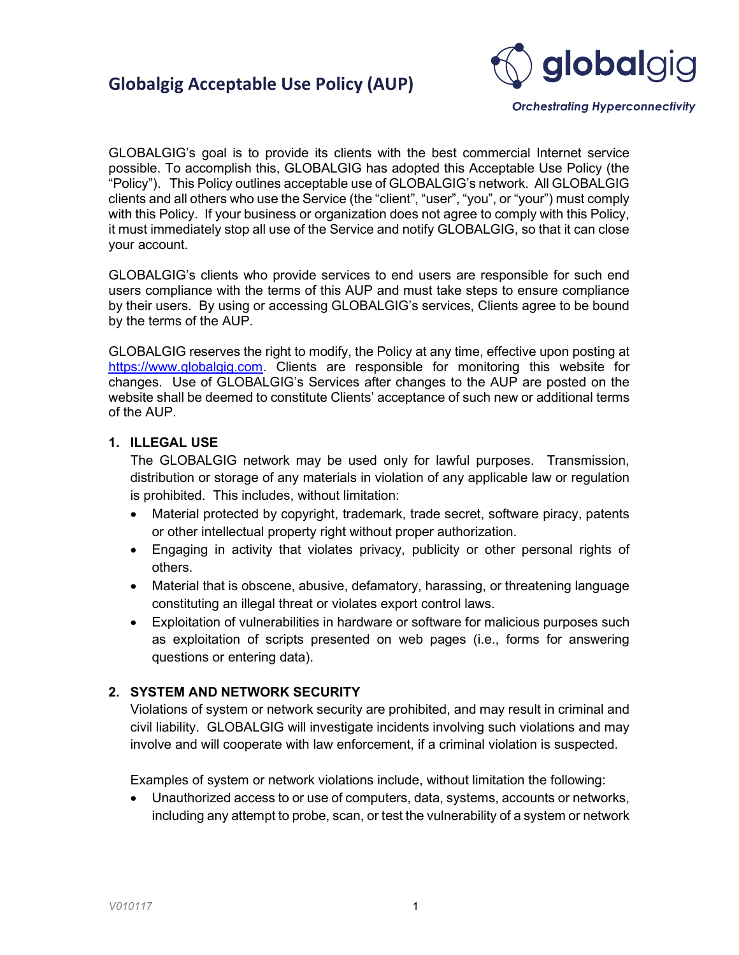

**Orchestrating Hyperconnectivity** 

GLOBALGIG's goal is to provide its clients with the best commercial Internet service possible. To accomplish this, GLOBALGIG has adopted this Acceptable Use Policy (the "Policy"). This Policy outlines acceptable use of GLOBALGIG's network. All GLOBALGIG clients and all others who use the Service (the "client", "user", "you", or "your") must comply with this Policy. If your business or organization does not agree to comply with this Policy, it must immediately stop all use of the Service and notify GLOBALGIG, so that it can close your account.

GLOBALGIG's clients who provide services to end users are responsible for such end users compliance with the terms of this AUP and must take steps to ensure compliance by their users. By using or accessing GLOBALGIG's services, Clients agree to be bound by the terms of the AUP.

GLOBALGIG reserves the right to modify, the Policy at any time, effective upon posting at https://www.globalgig.com. Clients are responsible for monitoring this website for changes. Use of GLOBALGIG's Services after changes to the AUP are posted on the website shall be deemed to constitute Clients' acceptance of such new or additional terms of the AUP.

#### 1. ILLEGAL USE

The GLOBALGIG network may be used only for lawful purposes. Transmission, distribution or storage of any materials in violation of any applicable law or regulation is prohibited. This includes, without limitation:

- Material protected by copyright, trademark, trade secret, software piracy, patents or other intellectual property right without proper authorization.
- Engaging in activity that violates privacy, publicity or other personal rights of others.
- Material that is obscene, abusive, defamatory, harassing, or threatening language constituting an illegal threat or violates export control laws.
- Exploitation of vulnerabilities in hardware or software for malicious purposes such as exploitation of scripts presented on web pages (i.e., forms for answering questions or entering data).

#### 2. SYSTEM AND NETWORK SECURITY

Violations of system or network security are prohibited, and may result in criminal and civil liability. GLOBALGIG will investigate incidents involving such violations and may involve and will cooperate with law enforcement, if a criminal violation is suspected.

Examples of system or network violations include, without limitation the following:

 Unauthorized access to or use of computers, data, systems, accounts or networks, including any attempt to probe, scan, or test the vulnerability of a system or network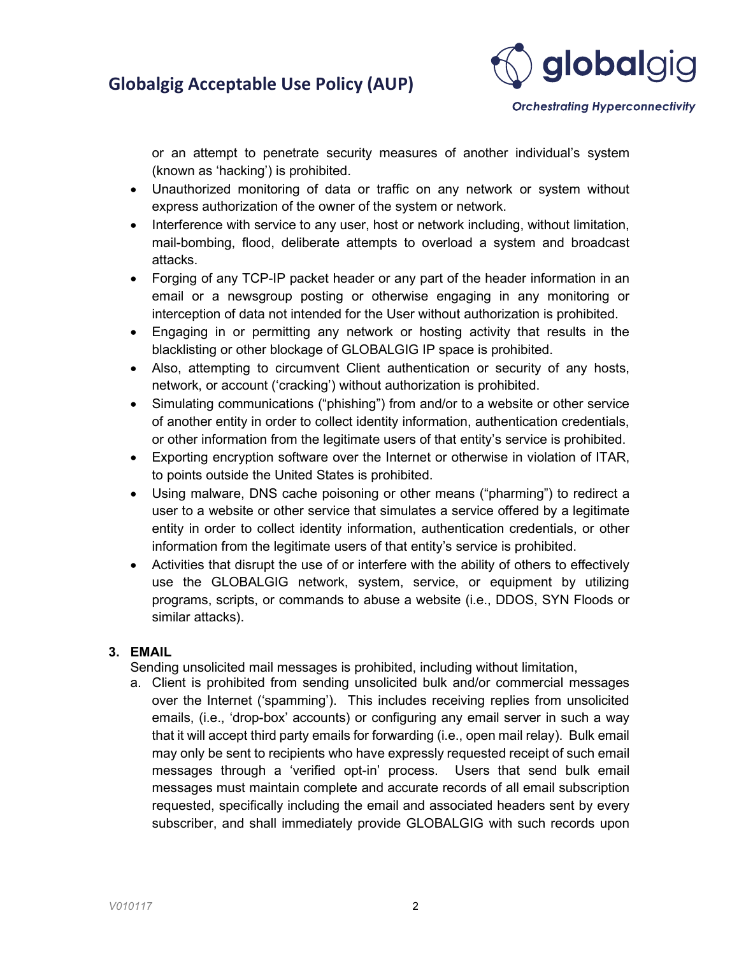

**Orchestrating Hyperconnectivity** 

or an attempt to penetrate security measures of another individual's system (known as 'hacking') is prohibited.

- Unauthorized monitoring of data or traffic on any network or system without express authorization of the owner of the system or network.
- Interference with service to any user, host or network including, without limitation, mail-bombing, flood, deliberate attempts to overload a system and broadcast attacks.
- Forging of any TCP-IP packet header or any part of the header information in an email or a newsgroup posting or otherwise engaging in any monitoring or interception of data not intended for the User without authorization is prohibited.
- Engaging in or permitting any network or hosting activity that results in the blacklisting or other blockage of GLOBALGIG IP space is prohibited.
- Also, attempting to circumvent Client authentication or security of any hosts, network, or account ('cracking') without authorization is prohibited.
- Simulating communications ("phishing") from and/or to a website or other service of another entity in order to collect identity information, authentication credentials, or other information from the legitimate users of that entity's service is prohibited.
- Exporting encryption software over the Internet or otherwise in violation of ITAR, to points outside the United States is prohibited.
- Using malware, DNS cache poisoning or other means ("pharming") to redirect a user to a website or other service that simulates a service offered by a legitimate entity in order to collect identity information, authentication credentials, or other information from the legitimate users of that entity's service is prohibited.
- Activities that disrupt the use of or interfere with the ability of others to effectively use the GLOBALGIG network, system, service, or equipment by utilizing programs, scripts, or commands to abuse a website (i.e., DDOS, SYN Floods or similar attacks).

#### 3. EMAIL

Sending unsolicited mail messages is prohibited, including without limitation,

a. Client is prohibited from sending unsolicited bulk and/or commercial messages over the Internet ('spamming'). This includes receiving replies from unsolicited emails, (i.e., 'drop-box' accounts) or configuring any email server in such a way that it will accept third party emails for forwarding (i.e., open mail relay). Bulk email may only be sent to recipients who have expressly requested receipt of such email messages through a 'verified opt-in' process. Users that send bulk email messages must maintain complete and accurate records of all email subscription requested, specifically including the email and associated headers sent by every subscriber, and shall immediately provide GLOBALGIG with such records upon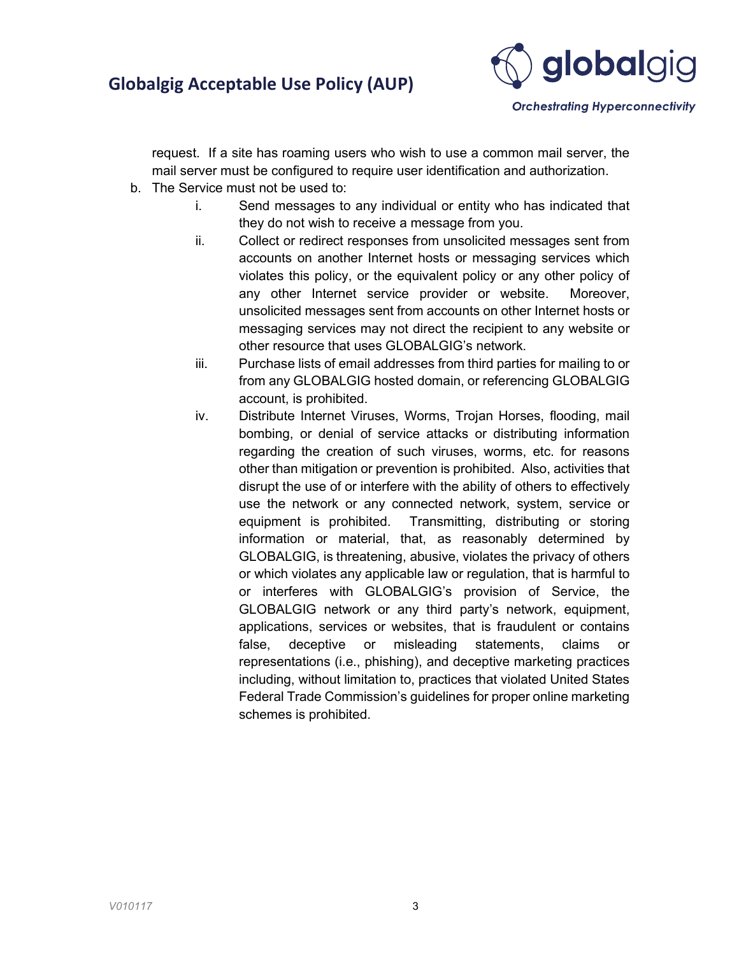

**Orchestrating Hyperconnectivity** 

request. If a site has roaming users who wish to use a common mail server, the mail server must be configured to require user identification and authorization.

- b. The Service must not be used to:
	- i. Send messages to any individual or entity who has indicated that they do not wish to receive a message from you.
	- ii. Collect or redirect responses from unsolicited messages sent from accounts on another Internet hosts or messaging services which violates this policy, or the equivalent policy or any other policy of any other Internet service provider or website. Moreover, unsolicited messages sent from accounts on other Internet hosts or messaging services may not direct the recipient to any website or other resource that uses GLOBALGIG's network.
	- iii. Purchase lists of email addresses from third parties for mailing to or from any GLOBALGIG hosted domain, or referencing GLOBALGIG account, is prohibited.
	- iv. Distribute Internet Viruses, Worms, Trojan Horses, flooding, mail bombing, or denial of service attacks or distributing information regarding the creation of such viruses, worms, etc. for reasons other than mitigation or prevention is prohibited. Also, activities that disrupt the use of or interfere with the ability of others to effectively use the network or any connected network, system, service or equipment is prohibited. Transmitting, distributing or storing information or material, that, as reasonably determined by GLOBALGIG, is threatening, abusive, violates the privacy of others or which violates any applicable law or regulation, that is harmful to or interferes with GLOBALGIG's provision of Service, the GLOBALGIG network or any third party's network, equipment, applications, services or websites, that is fraudulent or contains false, deceptive or misleading statements, claims or representations (i.e., phishing), and deceptive marketing practices including, without limitation to, practices that violated United States Federal Trade Commission's guidelines for proper online marketing schemes is prohibited.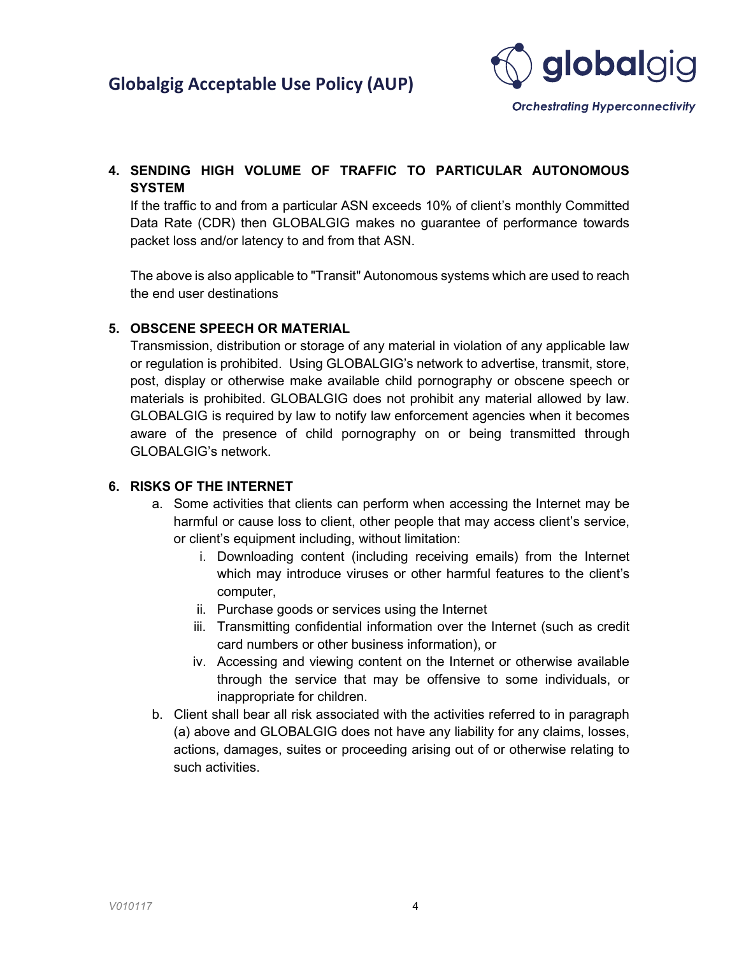

## 4. SENDING HIGH VOLUME OF TRAFFIC TO PARTICULAR AUTONOMOUS **SYSTEM**

If the traffic to and from a particular ASN exceeds 10% of client's monthly Committed Data Rate (CDR) then GLOBALGIG makes no guarantee of performance towards packet loss and/or latency to and from that ASN.

The above is also applicable to "Transit" Autonomous systems which are used to reach the end user destinations

### 5. OBSCENE SPEECH OR MATERIAL

Transmission, distribution or storage of any material in violation of any applicable law or regulation is prohibited. Using GLOBALGIG's network to advertise, transmit, store, post, display or otherwise make available child pornography or obscene speech or materials is prohibited. GLOBALGIG does not prohibit any material allowed by law. GLOBALGIG is required by law to notify law enforcement agencies when it becomes aware of the presence of child pornography on or being transmitted through GLOBALGIG's network.

### 6. RISKS OF THE INTERNET

- a. Some activities that clients can perform when accessing the Internet may be harmful or cause loss to client, other people that may access client's service, or client's equipment including, without limitation:
	- i. Downloading content (including receiving emails) from the Internet which may introduce viruses or other harmful features to the client's computer,
	- ii. Purchase goods or services using the Internet
	- iii. Transmitting confidential information over the Internet (such as credit card numbers or other business information), or
	- iv. Accessing and viewing content on the Internet or otherwise available through the service that may be offensive to some individuals, or inappropriate for children.
- b. Client shall bear all risk associated with the activities referred to in paragraph (a) above and GLOBALGIG does not have any liability for any claims, losses, actions, damages, suites or proceeding arising out of or otherwise relating to such activities.